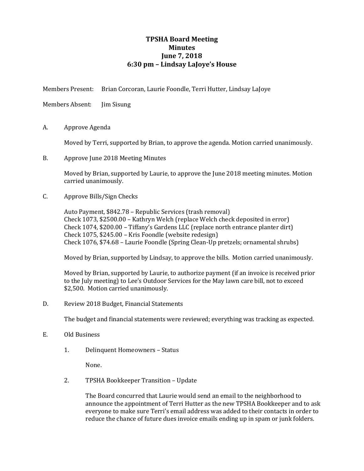## **TPSHA Board Meeting Minutes June 7, 2018 6:30 pm – Lindsay LaJoye's House**

Members Present: Brian Corcoran, Laurie Foondle, Terri Hutter, Lindsay LaJoye

Members Absent: Jim Sisung

A. Approve Agenda

Moved by Terri, supported by Brian, to approve the agenda. Motion carried unanimously.

B. Approve June 2018 Meeting Minutes

Moved by Brian, supported by Laurie, to approve the June 2018 meeting minutes. Motion carried unanimously.

C. Approve Bills/Sign Checks

Auto Payment, \$842.78 – Republic Services (trash removal) Check 1073, \$2500.00 – Kathryn Welch (replace Welch check deposited in error) Check 1074, \$200.00 – Tiffany's Gardens LLC (replace north entrance planter dirt) Check 1075, \$245.00 – Kris Foondle (website redesign) Check 1076, \$74.68 – Laurie Foondle (Spring Clean-Up pretzels; ornamental shrubs)

Moved by Brian, supported by Lindsay, to approve the bills. Motion carried unanimously.

Moved by Brian, supported by Laurie, to authorize payment (if an invoice is received prior to the July meeting) to Lee's Outdoor Services for the May lawn care bill, not to exceed \$2,500. Motion carried unanimously.

D. Review 2018 Budget, Financial Statements

The budget and financial statements were reviewed; everything was tracking as expected.

- E. Old Business
	- 1. Delinquent Homeowners Status

None.

2. TPSHA Bookkeeper Transition – Update

The Board concurred that Laurie would send an email to the neighborhood to announce the appointment of Terri Hutter as the new TPSHA Bookkeeper and to ask everyone to make sure Terri's email address was added to their contacts in order to reduce the chance of future dues invoice emails ending up in spam or junk folders.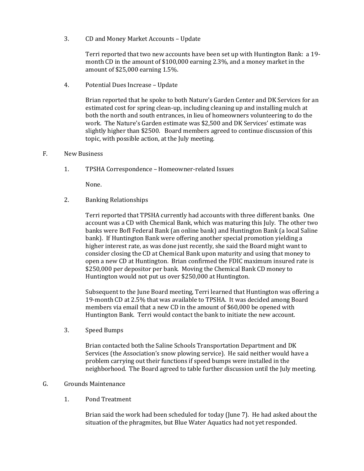3. CD and Money Market Accounts – Update

Terri reported that two new accounts have been set up with Huntington Bank: a 19 month CD in the amount of \$100,000 earning 2.3%, and a money market in the amount of \$25,000 earning 1.5%.

4. Potential Dues Increase – Update

Brian reported that he spoke to both Nature's Garden Center and DK Services for an estimated cost for spring clean-up, including cleaning up and installing mulch at both the north and south entrances, in lieu of homeowners volunteering to do the work. The Nature's Garden estimate was \$2,500 and DK Services' estimate was slightly higher than \$2500. Board members agreed to continue discussion of this topic, with possible action, at the July meeting.

- F. New Business
	- 1. TPSHA Correspondence Homeowner-related Issues

None.

2. Banking Relationships

Terri reported that TPSHA currently had accounts with three different banks. One account was a CD with Chemical Bank, which was maturing this July. The other two banks were BofI Federal Bank (an online bank) and Huntington Bank (a local Saline bank). If Huntington Bank were offering another special promotion yielding a higher interest rate, as was done just recently, she said the Board might want to consider closing the CD at Chemical Bank upon maturity and using that money to open a new CD at Huntington. Brian confirmed the FDIC maximum insured rate is \$250,000 per depositor per bank. Moving the Chemical Bank CD money to Huntington would not put us over \$250,000 at Huntington.

Subsequent to the June Board meeting, Terri learned that Huntington was offering a 19-month CD at 2.5% that was available to TPSHA. It was decided among Board members via email that a new CD in the amount of \$60,000 be opened with Huntington Bank. Terri would contact the bank to initiate the new account.

3. Speed Bumps

Brian contacted both the Saline Schools Transportation Department and DK Services (the Association's snow plowing service). He said neither would have a problem carrying out their functions if speed bumps were installed in the neighborhood. The Board agreed to table further discussion until the July meeting.

## G. Grounds Maintenance

1. Pond Treatment

Brian said the work had been scheduled for today (June 7). He had asked about the situation of the phragmites, but Blue Water Aquatics had not yet responded.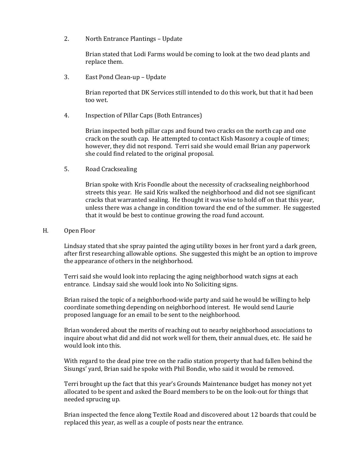2. North Entrance Plantings – Update

Brian stated that Lodi Farms would be coming to look at the two dead plants and replace them.

3. East Pond Clean-up – Update

Brian reported that DK Services still intended to do this work, but that it had been too wet.

4. Inspection of Pillar Caps (Both Entrances)

Brian inspected both pillar caps and found two cracks on the north cap and one crack on the south cap. He attempted to contact Kish Masonry a couple of times; however, they did not respond. Terri said she would email Brian any paperwork she could find related to the original proposal.

5. Road Cracksealing

Brian spoke with Kris Foondle about the necessity of cracksealing neighborhood streets this year. He said Kris walked the neighborhood and did not see significant cracks that warranted sealing. He thought it was wise to hold off on that this year, unless there was a change in condition toward the end of the summer. He suggested that it would be best to continue growing the road fund account.

## H. Open Floor

Lindsay stated that she spray painted the aging utility boxes in her front yard a dark green, after first researching allowable options. She suggested this might be an option to improve the appearance of others in the neighborhood.

Terri said she would look into replacing the aging neighborhood watch signs at each entrance. Lindsay said she would look into No Soliciting signs.

Brian raised the topic of a neighborhood-wide party and said he would be willing to help coordinate something depending on neighborhood interest. He would send Laurie proposed language for an email to be sent to the neighborhood.

Brian wondered about the merits of reaching out to nearby neighborhood associations to inquire about what did and did not work well for them, their annual dues, etc. He said he would look into this.

With regard to the dead pine tree on the radio station property that had fallen behind the Sisungs' yard, Brian said he spoke with Phil Bondie, who said it would be removed.

Terri brought up the fact that this year's Grounds Maintenance budget has money not yet allocated to be spent and asked the Board members to be on the look-out for things that needed sprucing up.

Brian inspected the fence along Textile Road and discovered about 12 boards that could be replaced this year, as well as a couple of posts near the entrance.